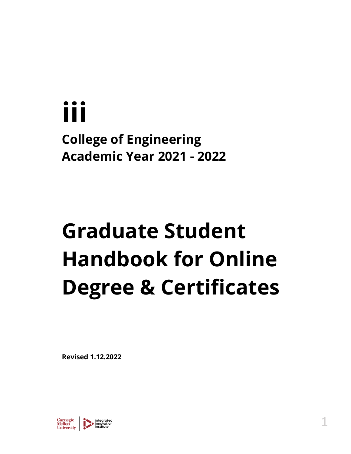# **iii College of Engineering**

**Academic Year 2021 - 2022**

# **Graduate Student Handbook for Online Degree & Certificates**

**Revised 1.12.2022**

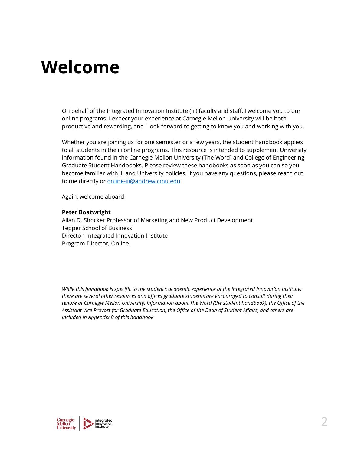## <span id="page-1-0"></span>**Welcome**

On behalf of the Integrated Innovation Institute (iii) faculty and staff, I welcome you to our online programs. I expect your experience at Carnegie Mellon University will be both productive and rewarding, and I look forward to getting to know you and working with you.

Whether you are joining us for one semester or a few years, the student handbook applies to all students in the iii online programs. This resource is intended to supplement University information found in the Carnegie Mellon University (The Word) and College of Engineering Graduate Student Handbooks. Please review these handbooks as soon as you can so you become familiar with iii and University policies. If you have any questions, please reach out to me directly or **online-iii@andrew.cmu.edu**.

Again, welcome aboard!

#### **Peter Boatwright**

Allan D. Shocker Professor of Marketing and New Product Development Tepper School of Business Director, Integrated Innovation Institute Program Director, Online

*While this handbook is specific to the student's academic experience at the Integrated Innovation Institute, there are several other resources and offices graduate students are encouraged to consult during their tenure at Carnegie Mellon University. Information about The Word (the student handbook), the Office of the Assistant Vice Provost for Graduate Education, the Office of the Dean of Student Affairs, and others are included in Appendix B of this handbook*

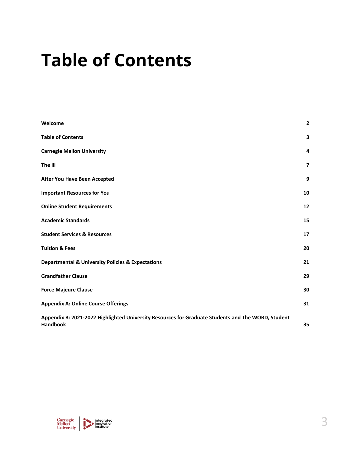## <span id="page-2-0"></span>**Table of Contents**

| Welcome                                                                                                               | $\overline{\mathbf{2}}$ |
|-----------------------------------------------------------------------------------------------------------------------|-------------------------|
| <b>Table of Contents</b>                                                                                              | 3                       |
| <b>Carnegie Mellon University</b>                                                                                     | 4                       |
| The iii                                                                                                               | $\overline{\mathbf{z}}$ |
| <b>After You Have Been Accepted</b>                                                                                   | 9                       |
| <b>Important Resources for You</b>                                                                                    | 10                      |
| <b>Online Student Requirements</b>                                                                                    | 12                      |
| <b>Academic Standards</b>                                                                                             | 15                      |
| <b>Student Services &amp; Resources</b>                                                                               | 17                      |
| <b>Tuition &amp; Fees</b>                                                                                             | 20                      |
| <b>Departmental &amp; University Policies &amp; Expectations</b>                                                      | 21                      |
| <b>Grandfather Clause</b>                                                                                             | 29                      |
| <b>Force Majeure Clause</b>                                                                                           | 30                      |
| <b>Appendix A: Online Course Offerings</b>                                                                            | 31                      |
| Appendix B: 2021-2022 Highlighted University Resources for Graduate Students and The WORD, Student<br><b>Handbook</b> | 35                      |

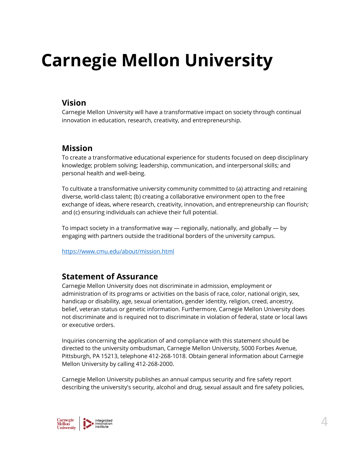## <span id="page-3-0"></span>**Carnegie Mellon University**

### **Vision**

Carnegie Mellon University will have a transformative impact on society through continual innovation in education, research, creativity, and entrepreneurship.

### **Mission**

To create a transformative educational experience for students focused on deep disciplinary knowledge; problem solving; leadership, communication, and interpersonal skills; and personal health and well-being.

To cultivate a transformative university community committed to (a) attracting and retaining diverse, world-class talent; (b) creating a collaborative environment open to the free exchange of ideas, where research, creativity, innovation, and entrepreneurship can flourish; and (c) ensuring individuals can achieve their full potential.

To impact society in a transformative way — regionally, nationally, and globally — by engaging with partners outside the traditional borders of the university campus.

<https://www.cmu.edu/about/mission.html>

### **Statement of Assurance**

Carnegie Mellon University does not discriminate in admission, employment or administration of its programs or activities on the basis of race, color, national origin, sex, handicap or disability, age, sexual orientation, gender identity, religion, creed, ancestry, belief, veteran status or genetic information. Furthermore, Carnegie Mellon University does not discriminate and is required not to discriminate in violation of federal, state or local laws or executive orders.

Inquiries concerning the application of and compliance with this statement should be directed to the university ombudsman, Carnegie Mellon University, 5000 Forbes Avenue, Pittsburgh, PA 15213, telephone 412-268-1018. Obtain general information about Carnegie Mellon University by calling 412-268-2000.

Carnegie Mellon University publishes an annual campus security and fire safety report describing the university's security, alcohol and drug, sexual assault and fire safety policies,

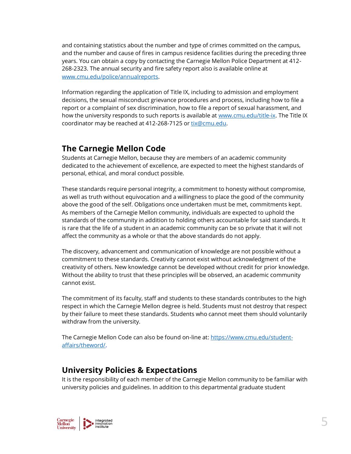and containing statistics about the number and type of crimes committed on the campus, and the number and cause of fires in campus residence facilities during the preceding three years. You can obtain a copy by contacting the Carnegie Mellon Police Department at 412- 268-2323. The annual security and fire safety report also is available online at [www.cmu.edu/police/annualreports.](http://www.cmu.edu/police/annualreports)

Information regarding the application of Title IX, including to admission and employment decisions, the sexual misconduct grievance procedures and process, including how to file a report or a complaint of sex discrimination, how to file a report of sexual harassment, and how the university responds to such reports is available at [www.cmu.edu/title-ix.](http://www.cmu.edu/title-ix) The Title IX coordinator may be reached at 412-268-7125 or [tix@cmu.edu.](mailto:tix@cmu.edu)

## **The Carnegie Mellon Code**

Students at Carnegie Mellon, because they are members of an academic community dedicated to the achievement of excellence, are expected to meet the highest standards of personal, ethical, and moral conduct possible.

These standards require personal integrity, a commitment to honesty without compromise, as well as truth without equivocation and a willingness to place the good of the community above the good of the self. Obligations once undertaken must be met, commitments kept. As members of the Carnegie Mellon community, individuals are expected to uphold the standards of the community in addition to holding others accountable for said standards. It is rare that the life of a student in an academic community can be so private that it will not affect the community as a whole or that the above standards do not apply.

The discovery, advancement and communication of knowledge are not possible without a commitment to these standards. Creativity cannot exist without acknowledgment of the creativity of others. New knowledge cannot be developed without credit for prior knowledge. Without the ability to trust that these principles will be observed, an academic community cannot exist.

The commitment of its faculty, staff and students to these standards contributes to the high respect in which the Carnegie Mellon degree is held. Students must not destroy that respect by their failure to meet these standards. Students who cannot meet them should voluntarily withdraw from the university.

The Carnegie Mellon Code can also be found on-line at[: https://www.cmu.edu/student](https://www.cmu.edu/student-affairs/theword/)[affairs/theword/.](https://www.cmu.edu/student-affairs/theword/)

### **University Policies & Expectations**

It is the responsibility of each member of the Carnegie Mellon community to be familiar with university policies and guidelines. In addition to this departmental graduate student

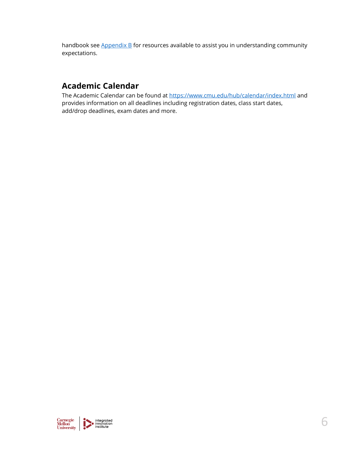handbook see [Appendix B](#page-34-0) for resources available to assist you in understanding community expectations.

## **Academic Calendar**

The Academic Calendar can be found at<https://www.cmu.edu/hub/calendar/index.html> and provides information on all deadlines including registration dates, class start dates, add/drop deadlines, exam dates and more.

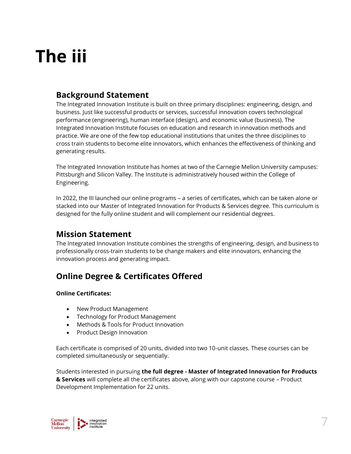## <span id="page-6-0"></span>**The iii**

## **Background Statement**

The Integrated Innovation Institute is built on three primary disciplines: engineering, design, and business. Just like successful products or services, successful innovation covers technological performance (engineering), human interface (design), and economic value (business). The Integrated Innovation Institute focuses on education and research in innovation methods and practice. We are one of the few top educational institutions that unites the three disciplines to cross train students to become elite innovators, which enhances the effectiveness of thinking and generating results.

The Integrated Innovation Institute has homes at two of the Carnegie Mellon University campuses: Pittsburgh and Silicon Valley. The Institute is administratively housed within the College of Engineering.

In 2022, the III launched our online programs – a series of certificates, which can be taken alone or stacked into our Master of Integrated Innovation for Products & Services degree. This curriculum is designed for the fully online student and will complement our residential degrees.

### **Mission Statement**

The Integrated Innovation Institute combines the strengths of engineering, design, and business to professionally cross-train students to be change makers and elite innovators, enhancing the innovation process and generating impact.

## **Online Degree & Certificates Offered**

#### **Online Certificates:**

- New Product Management
- Technology for Product Management
- Methods & Tools for Product Innovation
- Product Design Innovation

Each certificate is comprised of 20 units, divided into two 10-unit classes. These courses can be completed simultaneously or sequentially.

Students interested in pursuing **the full degree - Master of Integrated Innovation for Products & Services** will complete all the certificates above, along with our capstone course – Product Development Implementation for 22 units.

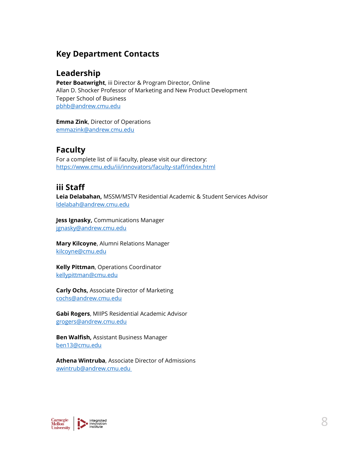## **Key Department Contacts**

## **Leadership**

**Peter Boatwright**, iii Director & Program Director, Online Allan D. Shocker Professor of Marketing and New Product Development Tepper School of Business [pbhb@andrew.cmu.edu](mailto:pbhb@andrew.cmu.edu)

**Emma Zink**, Director of Operations [emmazink@andrew.cmu.edu](mailto:emmazink@andrew.cmu.edu)

## **Faculty**

For a complete list of iii faculty, please visit our directory: <https://www.cmu.edu/iii/innovators/faculty-staff/index.html>

## **iii Staff**

**Leia Delabahan,** MSSM/MSTV Residential Academic & Student Services Advisor [ldelabah@andrew.cmu.edu](mailto:ldelabah@andrew.cmu.edu)

**Jess Ignasky,** Communications Manager [jgnasky@andrew.cmu.edu](mailto:jgnasky@andrew.cmu.edu)

**Mary Kilcoyne**, Alumni Relations Manager [kilcoyne@cmu.edu](mailto:kilcoyne@cmu.edu)

**Kelly Pittman**, Operations Coordinator [kellypittman@cmu.edu](mailto:kellypittman@cmu.edu)

**Carly Ochs,** Associate Director of Marketing [cochs@andrew.cmu.edu](mailto:cochs@andrew.cmu.edu)

**Gabi Rogers**, MIIPS Residential Academic Advisor [grogers@andrew.cmu.edu](mailto:grogers@andrew.cmu.edu)

**Ben Walfish,** Assistant Business Manager [ben13@cmu.edu](mailto:ben13@cmu.edu)

**Athena Wintruba**, Associate Director of Admissions [awintrub@andrew.cmu.edu](mailto:awintrub@andrew.cmu.edu)

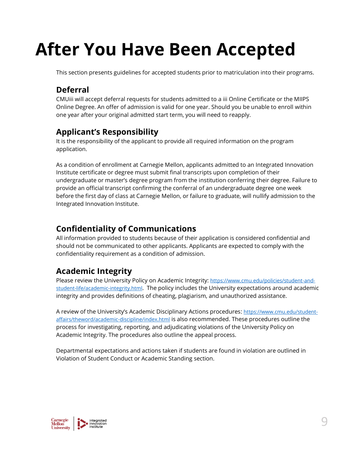## <span id="page-8-0"></span>**After You Have Been Accepted**

This section presents guidelines for accepted students prior to matriculation into their programs.

## **Deferral**

CMUiii will accept deferral requests for students admitted to a iii Online Certificate or the MIIPS Online Degree. An offer of admission is valid for one year. Should you be unable to enroll within one year after your original admitted start term, you will need to reapply.

## **Applicant's Responsibility**

It is the responsibility of the applicant to provide all required information on the program application.

As a condition of enrollment at Carnegie Mellon, applicants admitted to an Integrated Innovation Institute certificate or degree must submit final transcripts upon completion of their undergraduate or master's degree program from the institution conferring their degree. Failure to provide an official transcript confirming the conferral of an undergraduate degree one week before the first day of class at Carnegie Mellon, or failure to graduate, will nullify admission to the Integrated Innovation Institute.

## **Confidentiality of Communications**

All information provided to students because of their application is considered confidential and should not be communicated to other applicants. Applicants are expected to comply with the confidentiality requirement as a condition of admission.

## **Academic Integrity**

Please review the University Policy on Academic Integrity: [https://www.cmu.edu/policies/student-and](https://www.cmu.edu/policies/student-and-student-life/academic-integrity.html)[student-life/academic-integrity.html](https://www.cmu.edu/policies/student-and-student-life/academic-integrity.html). The policy includes the University expectations around academic integrity and provides definitions of cheating, plagiarism, and unauthorized assistance.

A review of the University's Academic Disciplinary Actions procedures: [https://www.cmu.edu/student](https://www.cmu.edu/student-affairs/theword/academic-discipline/index.html)[affairs/theword/academic-discipline/index.html](https://www.cmu.edu/student-affairs/theword/academic-discipline/index.html) is also recommended. These procedures outline the process for investigating, reporting, and adjudicating violations of the University Policy on Academic Integrity. The procedures also outline the appeal process.

Departmental expectations and actions taken if students are found in violation are outlined in Violation of Student Conduct or Academic Standing section.

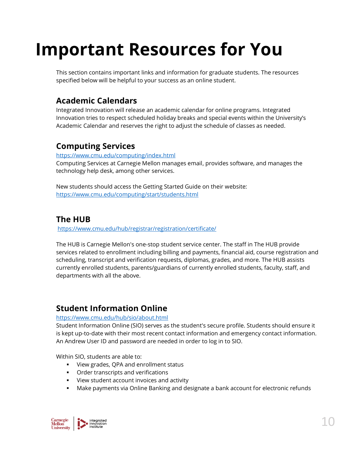## <span id="page-9-0"></span>**Important Resources for You**

This section contains important links and information for graduate students. The resources specified below will be helpful to your success as an online student.

## **Academic Calendars**

Integrated Innovation will release an academic calendar for online programs. Integrated Innovation tries to respect scheduled holiday breaks and special events within the University's Academic Calendar and reserves the right to adjust the schedule of classes as needed.

## **Computing Services**

<https://www.cmu.edu/computing/index.html>

Computing Services at Carnegie Mellon manages email, provides software, and manages the technology help desk, among other services.

New students should access the Getting Started Guide on their website: <https://www.cmu.edu/computing/start/students.html>

## **The HUB**

<https://www.cmu.edu/hub/registrar/registration/certificate/>

The HUB is Carnegie Mellon's one-stop student service center. The staff in The HUB provide services related to enrollment including billing and payments, financial aid, course registration and scheduling, transcript and verification requests, diplomas, grades, and more. The HUB assists currently enrolled students, parents/guardians of currently enrolled students, faculty, staff, and departments with all the above.

## **Student Information Online**

#### <https://www.cmu.edu/hub/sio/about.html>

Student Information Online (SIO) serves as the student's secure profile. Students should ensure it is kept up-to-date with their most recent contact information and emergency contact information. An Andrew User ID and password are needed in order to log in to SIO.

Within SIO, students are able to:

- View grades, QPA and enrollment status
- Order transcripts and verifications
- View student account invoices and activity
- **■** Make payments via Online Banking and designate a bank account for electronic refunds

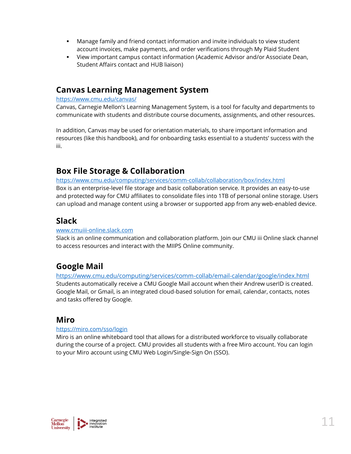- **■** Manage family and friend contact information and invite individuals to view student account invoices, make payments, and order verifications through My Plaid Student
- View important campus contact information (Academic Advisor and/or Associate Dean, Student Affairs contact and HUB liaison)

### **Canvas Learning Management System**

#### <https://www.cmu.edu/canvas/>

Canvas, Carnegie Mellon's Learning Management System, is a tool for faculty and departments to communicate with students and distribute course documents, assignments, and other resources.

In addition, Canvas may be used for orientation materials, to share important information and resources (like this handbook), and for onboarding tasks essential to a students' success with the iii.

## **Box File Storage & Collaboration**

<https://www.cmu.edu/computing/services/comm-collab/collaboration/box/index.html> Box is an enterprise-level file storage and basic collaboration service. It provides an easy-to-use and protected way for CMU affiliates to consolidate files into 1TB of personal online storage. Users

can upload and manage content using a browser or supported app from any web-enabled device.

### **Slack**

#### [www.cmuiii-online.slack.com](http://www.cmuiii-online.slack.com/)

Slack is an online communication and collaboration platform. Join our CMU iii Online slack channel to access resources and interact with the MIIPS Online community.

## **Google Mail**

<https://www.cmu.edu/computing/services/comm-collab/email-calendar/google/index.html> Students automatically receive a CMU Google Mail account when their Andrew userID is created. Google Mail, or Gmail, is an integrated cloud-based solution for email, calendar, contacts, notes and tasks offered by Google.

### **Miro**

#### <https://miro.com/sso/login>

Miro is an online whiteboard tool that allows for a distributed workforce to visually collaborate during the course of a project. CMU provides all students with a free Miro account. You can login to your Miro account using CMU Web Login/Single-Sign On (SSO).

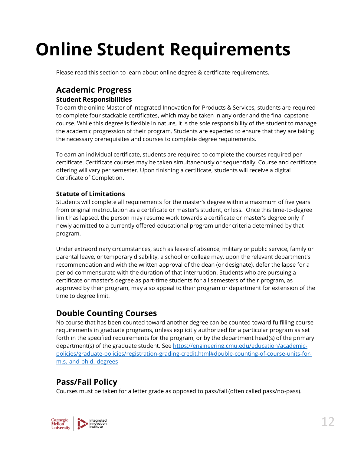## <span id="page-11-0"></span>**Online Student Requirements**

Please read this section to learn about online degree & certificate requirements.

## **Academic Progress**

#### **Student Responsibilities**

To earn the online Master of Integrated Innovation for Products & Services, students are required to complete four stackable certificates, which may be taken in any order and the final capstone course. While this degree is flexible in nature, it is the sole responsibility of the student to manage the academic progression of their program. Students are expected to ensure that they are taking the necessary prerequisites and courses to complete degree requirements.

To earn an individual certificate, students are required to complete the courses required per certificate. Certificate courses may be taken simultaneously or sequentially. Course and certificate offering will vary per semester. Upon finishing a certificate, students will receive a digital Certificate of Completion.

### **Statute of Limitations**

Students will complete all requirements for the master's degree within a maximum of five years from original matriculation as a certificate or master's student, or less. Once this time-to-degree limit has lapsed, the person may resume work towards a certificate or master's degree only if newly admitted to a currently offered educational program under criteria determined by that program.

Under extraordinary circumstances, such as leave of absence, military or public service, family or parental leave, or temporary disability, a school or college may, upon the relevant department's recommendation and with the written approval of the dean (or designate), defer the lapse for a period commensurate with the duration of that interruption. Students who are pursuing a certificate or master's degree as part-time students for all semesters of their program, as approved by their program, may also appeal to their program or department for extension of the time to degree limit.

## **Double Counting Courses**

No course that has been counted toward another degree can be counted toward fulfilling course requirements in graduate programs, unless explicitly authorized for a particular program as set forth in the specified requirements for the program, or by the department head(s) of the primary department(s) of the graduate student. See [https://engineering.cmu.edu/education/academic](https://engineering.cmu.edu/education/academic-policies/graduate-policies/registration-grading-credit.html#double-counting-of-course-units-for-m.s.-and-ph.d.-degrees)[policies/graduate-policies/registration-grading-credit.html#double-counting-of-course-units-for](https://engineering.cmu.edu/education/academic-policies/graduate-policies/registration-grading-credit.html#double-counting-of-course-units-for-m.s.-and-ph.d.-degrees)[m.s.-and-ph.d.-degrees](https://engineering.cmu.edu/education/academic-policies/graduate-policies/registration-grading-credit.html#double-counting-of-course-units-for-m.s.-and-ph.d.-degrees)

## **Pass/Fail Policy**

Courses must be taken for a letter grade as opposed to pass/fail (often called pass/no-pass).

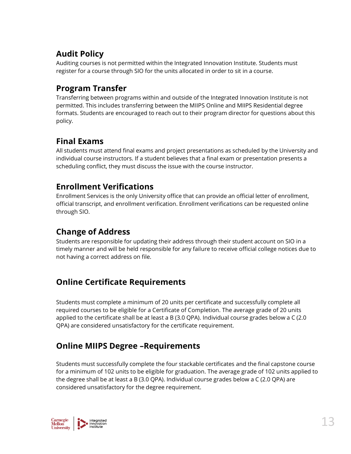## **Audit Policy**

Auditing courses is not permitted within the Integrated Innovation Institute. Students must register for a course through SIO for the units allocated in order to sit in a course.

## **Program Transfer**

Transferring between programs within and outside of the Integrated Innovation Institute is not permitted. This includes transferring between the MIIPS Online and MIIPS Residential degree formats. Students are encouraged to reach out to their program director for questions about this policy.

## **Final Exams**

All students must attend final exams and project presentations as scheduled by the University and individual course instructors. If a student believes that a final exam or presentation presents a scheduling conflict, they must discuss the issue with the course instructor.

## **Enrollment Verifications**

Enrollment Services is the only University office that can provide an official letter of enrollment, official transcript, and enrollment verification. Enrollment verifications can be requested online through SIO.

## **Change of Address**

Students are responsible for updating their address through their student account on SIO in a timely manner and will be held responsible for any failure to receive official college notices due to not having a correct address on file.

## **Online Certificate Requirements**

Students must complete a minimum of 20 units per certificate and successfully complete all required courses to be eligible for a Certificate of Completion. The average grade of 20 units applied to the certificate shall be at least a B (3.0 QPA). Individual course grades below a C (2.0 QPA) are considered unsatisfactory for the certificate requirement.

## **Online MIIPS Degree –Requirements**

Students must successfully complete the four stackable certificates and the final capstone course for a minimum of 102 units to be eligible for graduation. The average grade of 102 units applied to the degree shall be at least a B (3.0 QPA). Individual course grades below a C (2.0 QPA) are considered unsatisfactory for the degree requirement.

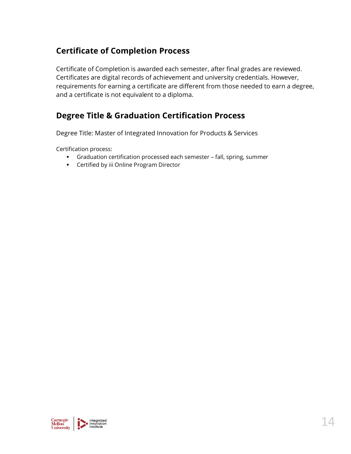## **Certificate of Completion Process**

Certificate of Completion is awarded each semester, after final grades are reviewed. Certificates are digital records of achievement and university credentials. However, requirements for earning a certificate are different from those needed to earn a degree, and a certificate is not equivalent to a diploma.

## **Degree Title & Graduation Certification Process**

Degree Title: Master of Integrated Innovation for Products & Services

Certification process:

- Graduation certification processed each semester fall, spring, summer
- **•** Certified by iii Online Program Director

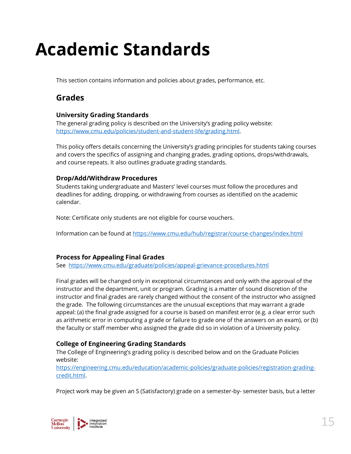## <span id="page-14-0"></span>**Academic Standards**

This section contains information and policies about grades, performance, etc.

## **Grades**

#### **University Grading Standards**

The general grading policy is described on the University's grading policy website: [https://www.cmu.edu/policies/student-and-student-life/grading.html.](https://www.cmu.edu/policies/student-and-student-life/grading.html)

This policy offers details concerning the University's grading principles for students taking courses and covers the specifics of assigning and changing grades, grading options, drops/withdrawals, and course repeats. It also outlines graduate grading standards.

#### **Drop/Add/Withdraw Procedures**

Students taking undergraduate and Masters' level courses must follow the procedures and deadlines for adding, dropping, or withdrawing from courses as identified on the academic calendar.

Note: Certificate only students are not eligible for course vouchers.

Information can be found at<https://www.cmu.edu/hub/registrar/course-changes/index.html>

#### **Process for Appealing Final Grades**

See <https://www.cmu.edu/graduate/policies/appeal-grievance-procedures.html>

Final grades will be changed only in exceptional circumstances and only with the approval of the instructor and the department, unit or program. Grading is a matter of sound discretion of the instructor and final grades are rarely changed without the consent of the instructor who assigned the grade. The following circumstances are the unusual exceptions that may warrant a grade appeal: (a) the final grade assigned for a course is based on manifest error (e.g. a clear error such as arithmetic error in computing a grade or failure to grade one of the answers on an exam), or (b) the faculty or staff member who assigned the grade did so in violation of a University policy.

### **College of Engineering Grading Standards**

The College of Engineering's grading policy is described below and on the Graduate Policies website:

[https://engineering.cmu.edu/education/academic-policies/graduate-policies/registration-grading](https://engineering.cmu.edu/education/academic-policies/graduate-policies/registration-grading-credit.html)[credit.html.](https://engineering.cmu.edu/education/academic-policies/graduate-policies/registration-grading-credit.html)

Project work may be given an S (Satisfactory) grade on a semester-by- semester basis, but a letter

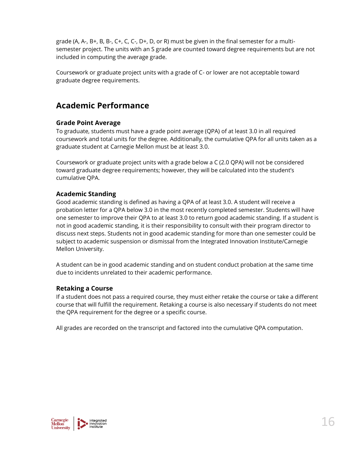grade (A, A-, B+, B, B-, C+, C, C-, D+, D, or R) must be given in the final semester for a multisemester project. The units with an S grade are counted toward degree requirements but are not included in computing the average grade.

Coursework or graduate project units with a grade of C- or lower are not acceptable toward graduate degree requirements.

## **Academic Performance**

#### **Grade Point Average**

To graduate, students must have a grade point average (QPA) of at least 3.0 in all required coursework and total units for the degree. Additionally, the cumulative QPA for all units taken as a graduate student at Carnegie Mellon must be at least 3.0.

Coursework or graduate project units with a grade below a C (2.0 QPA) will not be considered toward graduate degree requirements; however, they will be calculated into the student's cumulative QPA.

#### **Academic Standing**

Good academic standing is defined as having a QPA of at least 3.0. A student will receive a probation letter for a QPA below 3.0 in the most recently completed semester. Students will have one semester to improve their QPA to at least 3.0 to return good academic standing. If a student is not in good academic standing, it is their responsibility to consult with their program director to discuss next steps. Students not in good academic standing for more than one semester could be subject to academic suspension or dismissal from the Integrated Innovation Institute/Carnegie Mellon University.

A student can be in good academic standing and on student conduct probation at the same time due to incidents unrelated to their academic performance.

#### **Retaking a Course**

If a student does not pass a required course, they must either retake the course or take a different course that will fulfill the requirement. Retaking a course is also necessary if students do not meet the QPA requirement for the degree or a specific course.

All grades are recorded on the transcript and factored into the cumulative QPA computation.

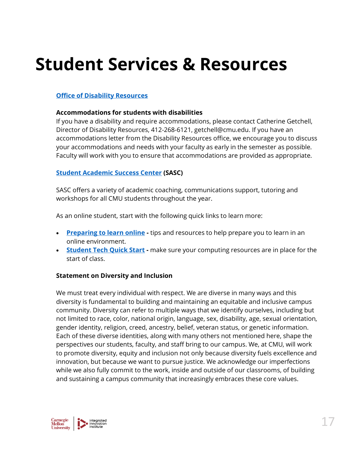## <span id="page-16-0"></span>**Student Services & Resources**

#### **[Office of Disability Resources](https://www.cmu.edu/disability-resources/)**

#### **Accommodations for students with disabilities**

If you have a disability and require accommodations, please contact Catherine Getchell, Director of Disability Resources, 412-268-6121, getchell@cmu.edu. If you have an accommodations letter from the Disability Resources office, we encourage you to discuss your accommodations and needs with your faculty as early in the semester as possible. Faculty will work with you to ensure that accommodations are provided as appropriate.

#### **[Student Academic Success Center](https://www.cmu.edu/student-success/index.html) (SASC)**

SASC offers a variety of academic coaching, communications support, tutoring and workshops for all CMU students throughout the year.

As an online student, start with the following quick links to learn more:

- **[Preparing to learn online](https://www.cmu.edu/student-success/online-resources/grad-resources/prep-to-learn-online.html) -** tips and resources to help prepare you to learn in an online environment.
- **[Student Tech Quick Start](https://www.cmu.edu/computing/start/students.html) -** make sure your computing resources are in place for the start of class.

#### **Statement on Diversity and Inclusion**

We must treat every individual with respect. We are diverse in many ways and this diversity is fundamental to building and maintaining an equitable and inclusive campus community. Diversity can refer to multiple ways that we identify ourselves, including but not limited to race, color, national origin, language, sex, disability, age, sexual orientation, gender identity, religion, creed, ancestry, belief, veteran status, or genetic information. Each of these diverse identities, along with many others not mentioned here, shape the perspectives our students, faculty, and staff bring to our campus. We, at CMU, will work to promote diversity, equity and inclusion not only because diversity fuels excellence and innovation, but because we want to pursue justice. We acknowledge our imperfections while we also fully commit to the work, inside and outside of our classrooms, of building and sustaining a campus community that increasingly embraces these core values.

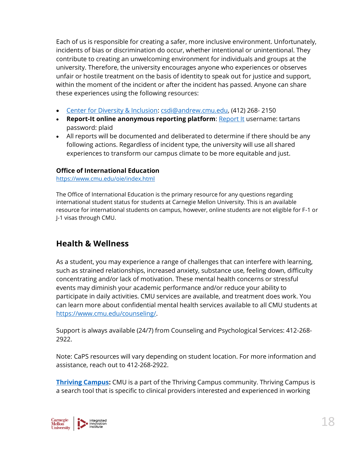Each of us is responsible for creating a safer, more inclusive environment. Unfortunately, incidents of bias or discrimination do occur, whether intentional or unintentional. They contribute to creating an unwelcoming environment for individuals and groups at the university. Therefore, the university encourages anyone who experiences or observes unfair or hostile treatment on the basis of identity to speak out for justice and support, within the moment of the incident or after the incident has passed. Anyone can share these experiences using the following resources:

- [Center for Diversity & Inclusion:](https://www.cmu.edu/student-diversity/index.html) [csdi@andrew.cmu.edu,](mailto:csdi@andrew.cmu.edu) (412) 268-2150
- **Report-It online anonymous reporting platform**: [Report It](http://reportit.net/) username: tartans password: plaid
- All reports will be documented and deliberated to determine if there should be any following actions. Regardless of incident type, the university will use all shared experiences to transform our campus climate to be more equitable and just.

#### **Office of International Education**

<https://www.cmu.edu/oie/index.html>

The Office of International Education is the primary resource for any questions regarding international student status for students at Carnegie Mellon University. This is an available resource for international students on campus, however, online students are not eligible for F-1 or J-1 visas through CMU.

## **Health & Wellness**

As a student, you may experience a range of challenges that can interfere with learning, such as strained relationships, increased anxiety, substance use, feeling down, difficulty concentrating and/or lack of motivation. These mental health concerns or stressful events may diminish your academic performance and/or reduce your ability to participate in daily activities. CMU services are available, and treatment does work. You can learn more about confidential mental health services available to all CMU students at [https://www.cmu.edu/counseling/.](https://www.cmu.edu/counseling/)

Support is always available (24/7) from Counseling and Psychological Services: 412-268- 2922.

Note: CaPS resources will vary depending on student location. For more information and assistance, reach out to 412-268-2922.

**[Thriving Campus:](https://cmu.thrivingcampus.com/)** CMU is a part of the Thriving Campus community. Thriving Campus is a search tool that is specific to clinical providers interested and experienced in working

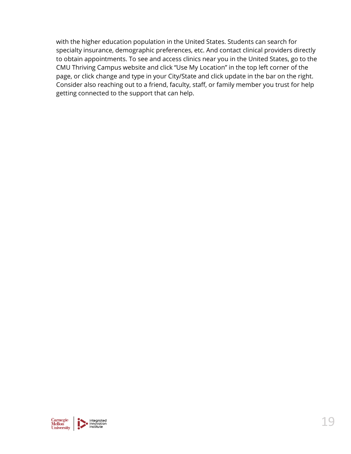with the higher education population in the United States. Students can search for specialty insurance, demographic preferences, etc. And contact clinical providers directly to obtain appointments. To see and access clinics near you in the United States, go to the CMU Thriving Campus website and click "Use My Location" in the top left corner of the page, or click change and type in your City/State and click update in the bar on the right. Consider also reaching out to a friend, faculty, staff, or family member you trust for help getting connected to the support that can help.

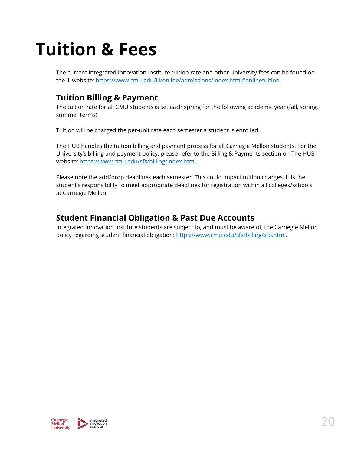## <span id="page-19-0"></span>**Tuition & Fees**

The current Integrated Innovation Institute tuition rate and other University fees can be found on the iii website: [https://www.cmu.edu/iii/online/admissions/index.html#onlinetuition.](https://www.cmu.edu/iii/online/admissions/index.html#onlinetuition)

## **Tuition Billing & Payment**

The tuition rate for all CMU students is set each spring for the following academic year (fall, spring, summer terms).

Tuition will be charged the per-unit rate each semester a student is enrolled.

The HUB handles the tuition billing and payment process for all Carnegie Mellon students. For the University's billing and payment policy, please refer to the Billing & Payments section on The HUB website: [https://www.cmu.edu/sfs/billing/index.html.](https://www.cmu.edu/sfs/billing/index.html)

Please note the add/drop deadlines each semester. This could impact tuition charges. It is the student's responsibility to meet appropriate deadlines for registration within all colleges/schools at Carnegie Mellon.

## **Student Financial Obligation & Past Due Accounts**

Integrated Innovation Institute students are subject to, and must be aware of, the Carnegie Mellon policy regarding student financial obligation: [https://www.cmu.edu/sfs/billing/sfo.html.](https://www.cmu.edu/sfs/billing/sfo.html)

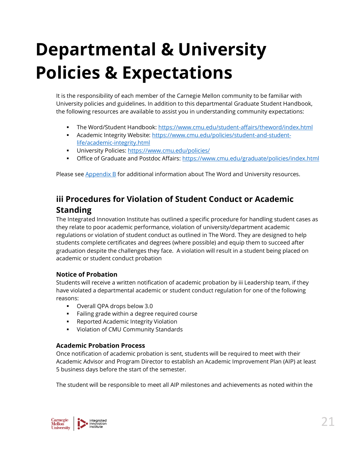## <span id="page-20-0"></span>**Departmental & University Policies & Expectations**

It is the responsibility of each member of the Carnegie Mellon community to be familiar with University policies and guidelines. In addition to this departmental Graduate Student Handbook, the following resources are available to assist you in understanding community expectations:

- The Word/Student Handbook:<https://www.cmu.edu/student-affairs/theword/index.html>
- **■** Academic Integrity Website: [https://www.cmu.edu/policies/student-and-student](https://www.cmu.edu/policies/student-and-student-life/academic-integrity.html)[life/academic-integrity.html](https://www.cmu.edu/policies/student-and-student-life/academic-integrity.html)
- University Policies:<https://www.cmu.edu/policies/>
- Office of Graduate and Postdoc Affairs:<https://www.cmu.edu/graduate/policies/index.html>

Please see [Appendix B](#page-34-0) for additional information about The Word and University resources.

## **iii Procedures for Violation of Student Conduct or Academic Standing**

The Integrated Innovation Institute has outlined a specific procedure for handling student cases as they relate to poor academic performance, violation of university/department academic regulations or violation of student conduct as outlined in The Word. They are designed to help students complete certificates and degrees (where possible) and equip them to succeed after graduation despite the challenges they face. A violation will result in a student being placed on academic or student conduct probation

#### **Notice of Probation**

Students will receive a written notification of academic probation by iii Leadership team, if they have violated a departmental academic or student conduct regulation for one of the following reasons:

- Overall QPA drops below 3.0
- Failing grade within a degree required course
- Reported Academic Integrity Violation
- Violation of CMU Community Standards

#### **Academic Probation Process**

Once notification of academic probation is sent, students will be required to meet with their Academic Advisor and Program Director to establish an Academic Improvement Plan (AIP) at least 5 business days before the start of the semester.

The student will be responsible to meet all AIP milestones and achievements as noted within the

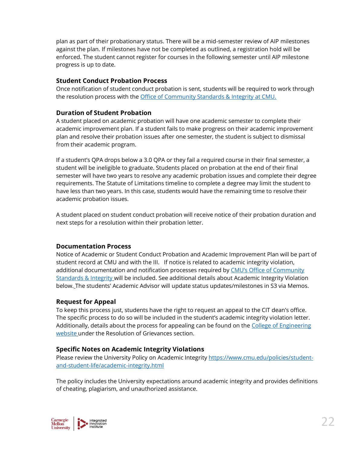plan as part of their probationary status. There will be a mid-semester review of AIP milestones against the plan. If milestones have not be completed as outlined, a registration hold will be enforced. The student cannot register for courses in the following semester until AIP milestone progress is up to date.

#### **Student Conduct Probation Process**

Once notification of student conduct probation is sent, students will be required to work through the resolution process with the **Office of Community Standards & Integrity at CMU**.

#### **Duration of Student Probation**

A student placed on academic probation will have one academic semester to complete their academic improvement plan. If a student fails to make progress on their academic improvement plan and resolve their probation issues after one semester, the student is subject to dismissal from their academic program.

If a student's QPA drops below a 3.0 QPA or they fail a required course in their final semester, a student will be ineligible to graduate. Students placed on probation at the end of their final semester will have two years to resolve any academic probation issues and complete their degree requirements. The Statute of Limitations timeline to complete a degree may limit the student to have less than two years. In this case, students would have the remaining time to resolve their academic probation issues.

A student placed on student conduct probation will receive notice of their probation duration and next steps for a resolution within their probation letter.

#### **Documentation Process**

Notice of Academic or Student Conduct Probation and Academic Improvement Plan will be part of student record at CMU and with the III. If notice is related to academic integrity violation, additional documentation and notification processes required by CMU's Office of Community [Standards & Integrity](https://www.cmu.edu/student-affairs/ocsi/) will be included. See additional details about Academic Integrity Violation below. The students' Academic Advisor will update status updates/milestones in S3 via Memos.

#### **Request for Appeal**

To keep this process just, students have the right to request an appeal to the CIT dean's office. The specific process to do so will be included in the student's academic integrity violation letter. Additionally, details about the process for appealing can be found on the College of Engineering [website](https://engineering.cmu.edu/education/academic-policies/graduate-policies/general-policies.html) under the Resolution of Grievances section.

#### **Specific Notes on Academic Integrity Violations**

Please review the University Policy on Academic Integrity [https://www.cmu.edu/policies/student](https://www.cmu.edu/policies/student-and-student-life/academic-integrity.html)[and-student-life/academic-integrity.html](https://www.cmu.edu/policies/student-and-student-life/academic-integrity.html)

The policy includes the University expectations around academic integrity and provides definitions of cheating, plagiarism, and unauthorized assistance.

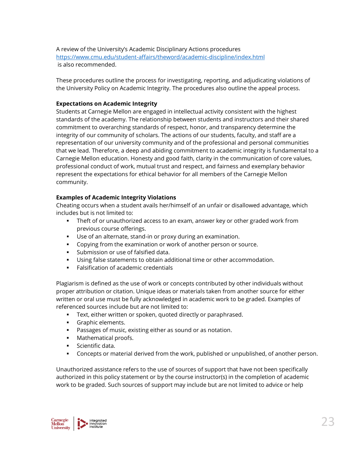A review of the University's Academic Disciplinary Actions procedures <https://www.cmu.edu/student-affairs/theword/academic-discipline/index.html> is also recommended.

These procedures outline the process for investigating, reporting, and adjudicating violations of the University Policy on Academic Integrity. The procedures also outline the appeal process.

#### **Expectations on Academic Integrity**

Students at Carnegie Mellon are engaged in intellectual activity consistent with the highest standards of the academy. The relationship between students and instructors and their shared commitment to overarching standards of respect, honor, and transparency determine the integrity of our community of scholars. The actions of our students, faculty, and staff are a representation of our university community and of the professional and personal communities that we lead. Therefore, a deep and abiding commitment to academic integrity is fundamental to a Carnegie Mellon education. Honesty and good faith, clarity in the communication of core values, professional conduct of work, mutual trust and respect, and fairness and exemplary behavior represent the expectations for ethical behavior for all members of the Carnegie Mellon community.

#### **Examples of Academic Integrity Violations**

Cheating occurs when a student avails her/himself of an unfair or disallowed advantage, which includes but is not limited to:

- **•** Theft of or unauthorized access to an exam, answer key or other graded work from previous course offerings.
- Use of an alternate, stand-in or proxy during an examination.
- Copying from the examination or work of another person or source.
- **■** Submission or use of falsified data.
- Using false statements to obtain additional time or other accommodation.
- Falsification of academic credentials

Plagiarism is defined as the use of work or concepts contributed by other individuals without proper attribution or citation. Unique ideas or materials taken from another source for either written or oral use must be fully acknowledged in academic work to be graded. Examples of referenced sources include but are not limited to:

- Text, either written or spoken, quoted directly or paraphrased.
- Graphic elements.
- Passages of music, existing either as sound or as notation.
- Mathematical proofs.
- Scientific data.
- **•** Concepts or material derived from the work, published or unpublished, of another person.

Unauthorized assistance refers to the use of sources of support that have not been specifically authorized in this policy statement or by the course instructor(s) in the completion of academic work to be graded. Such sources of support may include but are not limited to advice or help

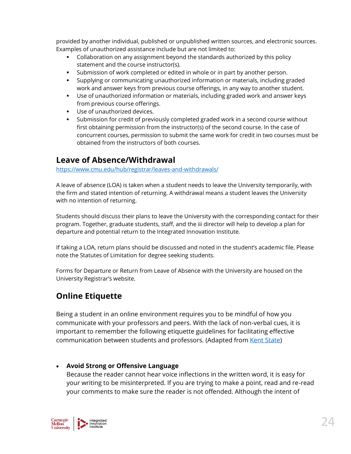provided by another individual, published or unpublished written sources, and electronic sources. Examples of unauthorized assistance include but are not limited to:

- Collaboration on any assignment beyond the standards authorized by this policy statement and the course instructor(s).
- Submission of work completed or edited in whole or in part by another person.
- Supplying or communicating unauthorized information or materials, including graded work and answer keys from previous course offerings, in any way to another student.
- **■** Use of unauthorized information or materials, including graded work and answer keys from previous course offerings.
- Use of unauthorized devices.
- Submission for credit of previously completed graded work in a second course without first obtaining permission from the instructor(s) of the second course. In the case of concurrent courses, permission to submit the same work for credit in two courses must be obtained from the instructors of both courses.

## **Leave of Absence/Withdrawal**

<https://www.cmu.edu/hub/registrar/leaves-and-withdrawals/>

A leave of absence (LOA) is taken when a student needs to leave the University temporarily, with the firm and stated intention of returning. A withdrawal means a student leaves the University with no intention of returning.

Students should discuss their plans to leave the University with the corresponding contact for their program. Together, graduate students, staff, and the iii director will help to develop a plan for departure and potential return to the Integrated Innovation Institute.

If taking a LOA, return plans should be discussed and noted in the student's academic file. Please note the Statutes of Limitation for degree seeking students.

Forms for Departure or Return from Leave of Absence with the University are housed on the University Registrar's website.

## **Online Etiquette**

Being a student in an online environment requires you to be mindful of how you communicate with your professors and peers. With the lack of non-verbal cues, it is important to remember the following etiquette guidelines for facilitating effective communication between students and professors. (Adapted from [Kent State\)](https://www.kent.edu/)

### • **Avoid Strong or Offensive Language**

Because the reader cannot hear voice inflections in the written word, it is easy for your writing to be misinterpreted. If you are trying to make a point, read and re-read your comments to make sure the reader is not offended. Although the intent of

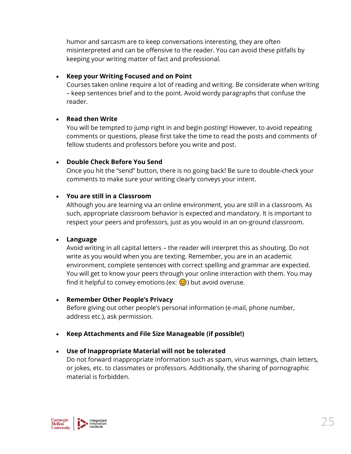humor and sarcasm are to keep conversations interesting, they are often misinterpreted and can be offensive to the reader. You can avoid these pitfalls by keeping your writing matter of fact and professional.

#### • **Keep your Writing Focused and on Point**

Courses taken online require a lot of reading and writing. Be considerate when writing – keep sentences brief and to the point. Avoid wordy paragraphs that confuse the reader.

#### • **Read then Write**

You will be tempted to jump right in and begin posting! However, to avoid repeating comments or questions, please first take the time to read the posts and comments of fellow students and professors before you write and post.

#### • **Double Check Before You Send**

Once you hit the "send" button, there is no going back! Be sure to double-check your comments to make sure your writing clearly conveys your intent.

#### • **You are still in a Classroom**

Although you are learning via an online environment, you are still in a classroom. As such, appropriate classroom behavior is expected and mandatory. It is important to respect your peers and professors, just as you would in an on-ground classroom.

#### • **Language**

Avoid writing in all capital letters – the reader will interpret this as shouting. Do not write as you would when you are texting. Remember, you are in an academic environment, complete sentences with correct spelling and grammar are expected. You will get to know your peers through your online interaction with them. You may find it helpful to convey emotions (ex:  $\odot$ ) but avoid overuse.

#### • **Remember Other People's Privacy**

Before giving out other people's personal information (e-mail, phone number, address etc.), ask permission.

### • **Keep Attachments and File Size Manageable (if possible!)**

#### • **Use of Inappropriate Material will not be tolerated**

Do not forward inappropriate information such as spam, virus warnings, chain letters, or jokes, etc. to classmates or professors. Additionally, the sharing of pornographic material is forbidden.

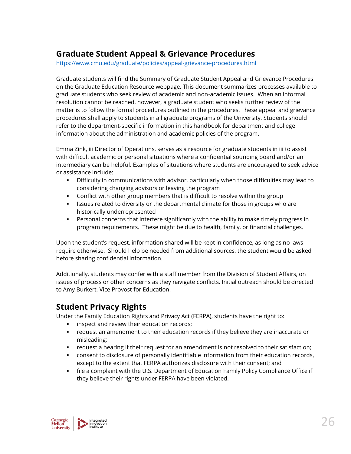## **Graduate Student Appeal & Grievance Procedures**

<https://www.cmu.edu/graduate/policies/appeal-grievance-procedures.html>

Graduate students will find the Summary of Graduate Student Appeal and Grievance Procedures on the Graduate Education Resource webpage. This document summarizes processes available to graduate students who seek review of academic and non-academic issues. When an informal resolution cannot be reached, however, a graduate student who seeks further review of the matter is to follow the formal procedures outlined in the procedures. These appeal and grievance procedures shall apply to students in all graduate programs of the University. Students should refer to the department-specific information in this handbook for department and college information about the administration and academic policies of the program.

Emma Zink, iii Director of Operations, serves as a resource for graduate students in iii to assist with difficult academic or personal situations where a confidential sounding board and/or an intermediary can be helpful. Examples of situations where students are encouraged to seek advice or assistance include:

- Difficulty in communications with advisor, particularly when those difficulties may lead to considering changing advisors or leaving the program
- Conflict with other group members that is difficult to resolve within the group
- **.** Issues related to diversity or the departmental climate for those in groups who are historically underrepresented
- **•** Personal concerns that interfere significantly with the ability to make timely progress in program requirements. These might be due to health, family, or financial challenges.

Upon the student's request, information shared will be kept in confidence, as long as no laws require otherwise. Should help be needed from additional sources, the student would be asked before sharing confidential information.

Additionally, students may confer with a staff member from the Division of Student Affairs, on issues of process or other concerns as they navigate conflicts. Initial outreach should be directed to Amy Burkert, Vice Provost for Education.

## **Student Privacy Rights**

Under the Family Education Rights and Privacy Act (FERPA), students have the right to:

- **•** inspect and review their education records;
- **•** request an amendment to their education records if they believe they are inaccurate or misleading;
- **•** request a hearing if their request for an amendment is not resolved to their satisfaction;
- **•** consent to disclosure of personally identifiable information from their education records, except to the extent that FERPA authorizes disclosure with their consent; and
- **•** file a complaint with the U.S. Department of Education Family Policy Compliance Office if they believe their rights under FERPA have been violated.

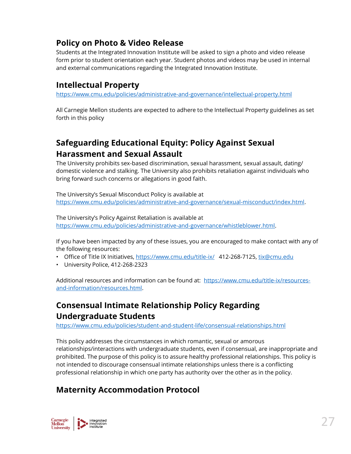## **Policy on Photo & Video Release**

Students at the Integrated Innovation Institute will be asked to sign a photo and video release form prior to student orientation each year. Student photos and videos may be used in internal and external communications regarding the Integrated Innovation Institute.

## **Intellectual Property**

<https://www.cmu.edu/policies/administrative-and-governance/intellectual-property.html>

All Carnegie Mellon students are expected to adhere to the Intellectual Property guidelines as set forth in this policy

## **Safeguarding Educational Equity: Policy Against Sexual Harassment and Sexual Assault**

The University prohibits sex-based discrimination, sexual harassment, sexual assault, dating/ domestic violence and stalking. The University also prohibits retaliation against individuals who bring forward such concerns or allegations in good faith.

The University's Sexual Misconduct Policy is available at [https://www.cmu.edu/policies/administrative-and-governance/sexual-misconduct/index.html.](https://www.cmu.edu/policies/administrative-and-governance/sexual-misconduct/index.html)

The University's Policy Against Retaliation is available at [https://www.cmu.edu/policies/administrative-and-governance/whistleblower.html.](https://www.cmu.edu/policies/administrative-and-governance/whistleblower.html)

If you have been impacted by any of these issues, you are encouraged to make contact with any of the following resources:

- Office of Title IX Initiatives, <https://www.cmu.edu/title-ix/>412-268-7125[, tix@cmu.edu](mailto:tix@cmu.edu)
- University Police, 412-268-2323

Additional resources and information can be found at: [https://www.cmu.edu/title-ix/resources](https://www.cmu.edu/title-ix/resources-and-information/resources.html)[and-information/resources.html.](https://www.cmu.edu/title-ix/resources-and-information/resources.html)

## **Consensual Intimate Relationship Policy Regarding Undergraduate Students**

<https://www.cmu.edu/policies/student-and-student-life/consensual-relationships.html>

This policy addresses the circumstances in which romantic, sexual or amorous relationships/interactions with undergraduate students, even if consensual, are inappropriate and prohibited. The purpose of this policy is to assure healthy professional relationships. This policy is not intended to discourage consensual intimate relationships unless there is a conflicting professional relationship in which one party has authority over the other as in the policy.

## **Maternity Accommodation Protocol**

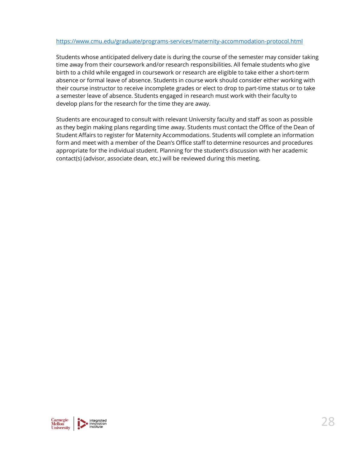#### <https://www.cmu.edu/graduate/programs-services/maternity-accommodation-protocol.html>

Students whose anticipated delivery date is during the course of the semester may consider taking time away from their coursework and/or research responsibilities. All female students who give birth to a child while engaged in coursework or research are eligible to take either a short-term absence or formal leave of absence. Students in course work should consider either working with their course instructor to receive incomplete grades or elect to drop to part-time status or to take a semester leave of absence. Students engaged in research must work with their faculty to develop plans for the research for the time they are away.

Students are encouraged to consult with relevant University faculty and staff as soon as possible as they begin making plans regarding time away. Students must contact the Office of the Dean of Student Affairs to register for Maternity Accommodations. Students will complete an information form and meet with a member of the Dean's Office staff to determine resources and procedures appropriate for the individual student. Planning for the student's discussion with her academic contact(s) (advisor, associate dean, etc.) will be reviewed during this meeting.

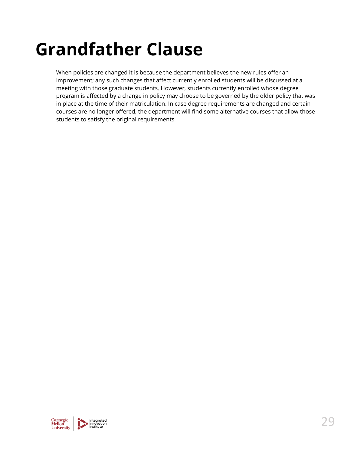## <span id="page-28-0"></span>**Grandfather Clause**

When policies are changed it is because the department believes the new rules offer an improvement; any such changes that affect currently enrolled students will be discussed at a meeting with those graduate students. However, students currently enrolled whose degree program is affected by a change in policy may choose to be governed by the older policy that was in place at the time of their matriculation. In case degree requirements are changed and certain courses are no longer offered, the department will find some alternative courses that allow those students to satisfy the original requirements.

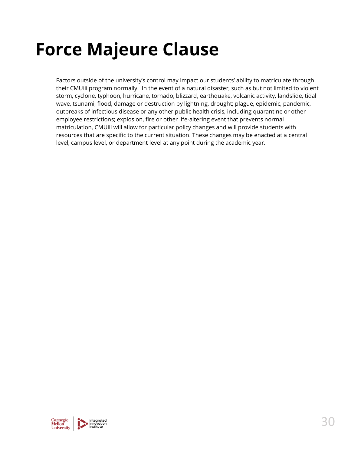## <span id="page-29-0"></span>**Force Majeure Clause**

Factors outside of the university's control may impact our students' ability to matriculate through their CMUiii program normally. In the event of a natural disaster, such as but not limited to violent storm, cyclone, typhoon, hurricane, tornado, blizzard, earthquake, volcanic activity, landslide, tidal wave, tsunami, flood, damage or destruction by lightning, drought; plague, epidemic, pandemic, outbreaks of infectious disease or any other public health crisis, including quarantine or other employee restrictions; explosion, fire or other life-altering event that prevents normal matriculation, CMUiii will allow for particular policy changes and will provide students with resources that are specific to the current situation. These changes may be enacted at a central level, campus level, or department level at any point during the academic year.

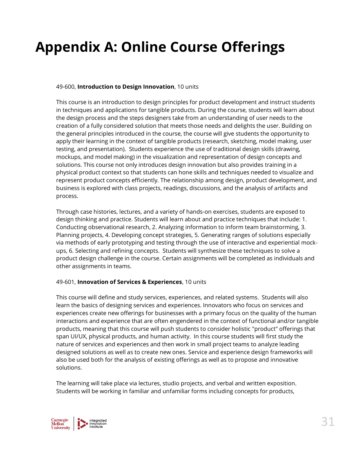## <span id="page-30-0"></span>**Appendix A: Online Course Offerings**

#### 49-600, **Introduction to Design Innovation**, 10 units

This course is an introduction to design principles for product development and instruct students in techniques and applications for tangible products. During the course, students will learn about the design process and the steps designers take from an understanding of user needs to the creation of a fully considered solution that meets those needs and delights the user. Building on the general principles introduced in the course, the course will give students the opportunity to apply their learning in the context of tangible products (research, sketching, model making, user testing, and presentation). Students experience the use of traditional design skills (drawing, mockups, and model making) in the visualization and representation of design concepts and solutions. This course not only introduces design innovation but also provides training in a physical product context so that students can hone skills and techniques needed to visualize and represent product concepts efficiently. The relationship among design, product development, and business is explored with class projects, readings, discussions, and the analysis of artifacts and process.

Through case histories, lectures, and a variety of hands-on exercises, students are exposed to design thinking and practice. Students will learn about and practice techniques that include: 1. Conducting observational research, 2. Analyzing information to inform team brainstorming, 3. Planning projects, 4. Developing concept strategies, 5. Generating ranges of solutions especially via methods of early prototyping and testing through the use of interactive and experiential mockups, 6. Selecting and refining concepts. Students will synthesize these techniques to solve a product design challenge in the course. Certain assignments will be completed as individuals and other assignments in teams.

#### 49-601, **Innovation of Services & Experiences**, 10 units

This course will define and study services, experiences, and related systems. Students will also learn the basics of designing services and experiences. Innovators who focus on services and experiences create new offerings for businesses with a primary focus on the quality of the human interactions and experience that are often engendered in the context of functional and/or tangible products, meaning that this course will push students to consider holistic "product" offerings that span UI/UX, physical products, and human activity. In this course students will first study the nature of services and experiences and then work in small project teams to analyze leading designed solutions as well as to create new ones. Service and experience design frameworks will also be used both for the analysis of existing offerings as well as to propose and innovative solutions.

The learning will take place via lectures, studio projects, and verbal and written exposition. Students will be working in familiar and unfamiliar forms including concepts for products,

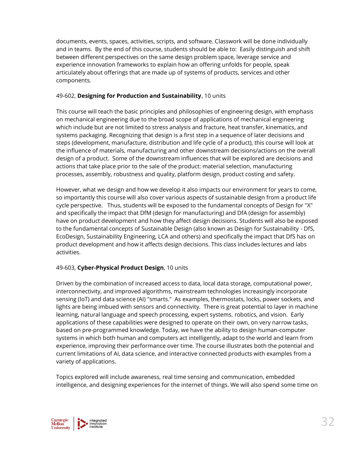documents, events, spaces, activities, scripts, and software. Classwork will be done individually and in teams. By the end of this course, students should be able to: Easily distinguish and shift between different perspectives on the same design problem space, leverage service and experience innovation frameworks to explain how an offering unfolds for people, speak articulately about offerings that are made up of systems of products, services and other components.

#### 49-602, **Designing for Production and Sustainability**, 10 units

This course will teach the basic principles and philosophies of engineering design, with emphasis on mechanical engineering due to the broad scope of applications of mechanical engineering which include but are not limited to stress analysis and fracture, heat transfer, kinematics, and systems packaging. Recognizing that design is a first step in a sequence of later decisions and steps (development, manufacture, distribution and life cycle of a product), this course will look at the influence of materials, manufacturing and other downstream decisions/actions on the overall design of a product. Some of the downstream influences that will be explored are decisions and actions that take place prior to the sale of the product: material selection, manufacturing processes, assembly, robustness and quality, platform design, product costing and safety.

However, what we design and how we develop it also impacts our environment for years to come, so importantly this course will also cover various aspects of sustainable design from a product life cycle perspective. Thus, students will be exposed to the fundamental concepts of Design for "X" and specifically the impact that DfM (design for manufacturing) and DfA (design for assembly) have on product development and how they affect design decisions. Students will also be exposed to the fundamental concepts of Sustainable Design (also known as Design for Sustainability - DfS, EcoDesign, Sustainability Engineering, LCA and others) and specifically the impact that DfS has on product development and how it affects design decisions. This class includes lectures and labs activities.

#### 49-603, **Cyber-Physical Product Design**, 10 units

Driven by the combination of increased access to data, local data storage, computational power, interconnectivity, and improved algorithms, mainstream technologies increasingly incorporate sensing (IoT) and data science (AI) "smarts." As examples, thermostats, locks, power sockets, and lights are being imbued with sensors and connectivity. There is great potential to layer in machine learning, natural language and speech processing, expert systems. robotics, and vision. Early applications of these capabilities were designed to operate on their own, on very narrow tasks, based on pre-programmed knowledge. Today, we have the ability to design human-computer systems in which both human and computers act intelligently, adapt to the world and learn from experience, improving their performance over time. The course illustrates both the potential and current limitations of AI, data science, and interactive connected products with examples from a variety of applications.

Topics explored will include awareness, real time sensing and communication, embedded intelligence, and designing experiences for the internet of things. We will also spend some time on

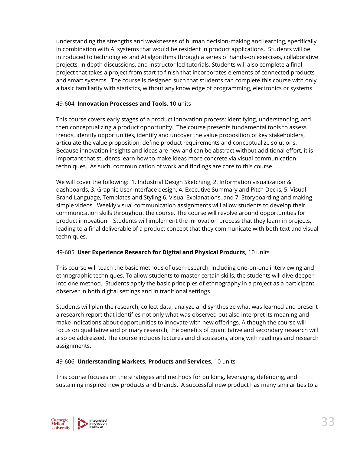understanding the strengths and weaknesses of human decision-making and learning, specifically in combination with AI systems that would be resident in product applications. Students will be introduced to technologies and AI algorithms through a series of hands-on exercises, collaborative projects, in depth discussions, and instructor led tutorials. Students will also complete a final project that takes a project from start to finish that incorporates elements of connected products and smart systems. The course is designed such that students can complete this course with only a basic familiarity with statistics, without any knowledge of programming, electronics or systems.

#### 49-604, **Innovation Processes and Tools**, 10 units

This course covers early stages of a product innovation process: identifying, understanding, and then conceptualizing a product opportunity. The course presents fundamental tools to assess trends, identify opportunities, identify and uncover the value proposition of key stakeholders, articulate the value proposition, define product requirements and conceptualize solutions. Because innovation insights and ideas are new and can be abstract without additional effort, it is important that students learn how to make ideas more concrete via visual communication techniques. As such, communication of work and findings are core to this course.

We will cover the following: 1. Industrial Design Sketching, 2. Information visualization & dashboards, 3. Graphic User interface design, 4. Executive Summary and Pitch Decks, 5. Visual Brand Language, Templates and Styling 6. Visual Explanations, and 7. Storyboarding and making simple videos. Weekly visual communication assignments will allow students to develop their communication skills throughout the course. The course will revolve around opportunities for product innovation. Students will implement the innovation process that they learn in projects, leading to a final deliverable of a product concept that they communicate with both text and visual techniques.

#### 49-605, **User Experience Research for Digital and Physical Products,** 10 units

This course will teach the basic methods of user research, including one-on-one interviewing and ethnographic techniques. To allow students to master certain skills, the students will dive deeper into one method. Students apply the basic principles of ethnography in a project as a participant observer in both digital settings and in traditional settings.

Students will plan the research, collect data, analyze and synthesize what was learned and present a research report that identifies not only what was observed but also interpret its meaning and make indications about opportunities to innovate with new offerings. Although the course will focus on qualitative and primary research, the benefits of quantitative and secondary research will also be addressed. The course includes lectures and discussions, along with readings and research assignments.

#### 49-606, **Understanding Markets, Products and Services,** 10 units

This course focuses on the strategies and methods for building, leveraging, defending, and sustaining inspired new products and brands. A successful new product has many similarities to a

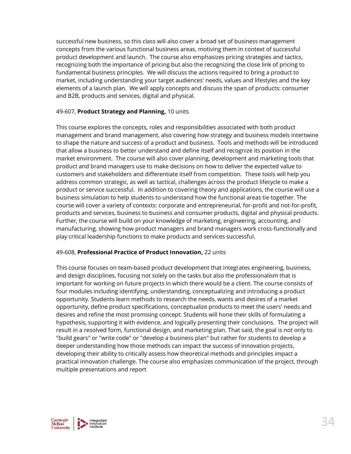successful new business, so this class will also cover a broad set of business management concepts from the various functional business areas, motiving them in context of successful product development and launch. The course also emphasizes pricing strategies and tactics, recognizing both the importance of pricing but also the recognizing the close link of pricing to fundamental business principles. We will discuss the actions required to bring a product to market, including understanding your target audiences' needs, values and lifestyles and the key elements of a launch plan. We will apply concepts and discuss the span of products: consumer and B2B, products and services, digital and physical.

#### 49-607, **Product Strategy and Planning,** 10 units

This course explores the concepts, roles and responsibilities associated with both product management and brand management, also covering how strategy and business models intertwine to shape the nature and success of a product and business. Tools and methods will be introduced that allow a business to better understand and define itself and recognize its position in the market environment. The course will also cover planning, development and marketing tools that product and brand managers use to make decisions on how to deliver the expected value to customers and stakeholders and differentiate itself from competition. These tools will help you address common strategic, as well as tactical, challenges across the product lifecycle to make a product or service successful. In addition to covering theory and applications, the course will use a business simulation to help students to understand how the functional areas tie together. The course will cover a variety of contexts: corporate and entrepreneurial, for-profit and not-for-profit, products and services, business to business and consumer products, digital and physical products. Further, the course will build on your knowledge of marketing, engineering, accounting, and manufacturing, showing how product managers and brand managers work cross-functionally and play critical leadership functions to make products and services successful.

#### 49-608, **Professional Practice of Product Innovation,** 22 units

This course focuses on team-based product development that integrates engineering, business, and design disciplines, focusing not solely on the tasks but also the professionalism that is important for working on future projects in which there would be a client. The course consists of four modules including identifying, understanding, conceptualizing and introducing a product opportunity. Students learn methods to research the needs, wants and desires of a market opportunity, define product specifications, conceptualize products to meet the users' needs and desires and refine the most promising concept. Students will hone their skills of formulating a hypothesis, supporting it with evidence, and logically presenting their conclusions. The project will result in a resolved form, functional design, and marketing plan. That said, the goal is not only to "build gears" or "write code" or "develop a business plan" but rather for students to develop a deeper understanding how those methods can impact the success of innovation projects, developing their ability to critically assess how theoretical methods and principles impact a practical innovation challenge. The course also emphasizes communication of the project, through multiple presentations and report

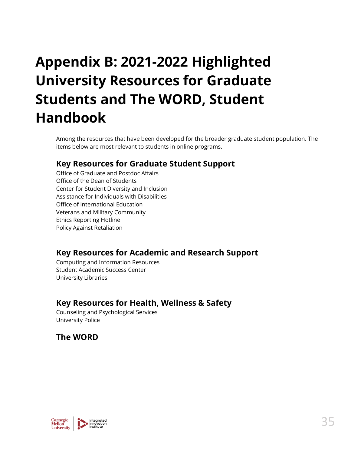## <span id="page-34-0"></span>**Appendix B: 2021-2022 Highlighted University Resources for Graduate Students and The WORD, Student Handbook**

Among the resources that have been developed for the broader graduate student population. The items below are most relevant to students in online programs.

## **Key Resources for Graduate Student Support**

Office of Graduate and Postdoc Affairs Office of the Dean of Students Center for Student Diversity and Inclusion Assistance for Individuals with Disabilities Office of International Education Veterans and Military Community Ethics Reporting Hotline Policy Against Retaliation

## **Key Resources for Academic and Research Support**

Computing and Information Resources Student Academic Success Center University Libraries

### **Key Resources for Health, Wellness & Safety**

Counseling and Psychological Services University Police

### **The WORD**

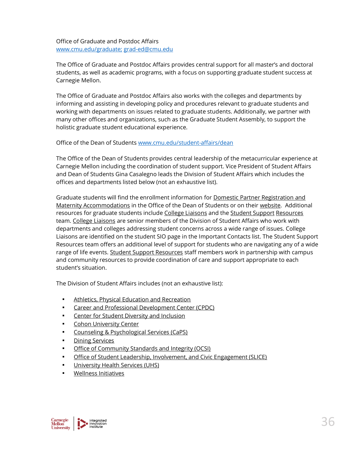Office of Graduate and Postdoc Affairs [www.cmu.edu/graduate;](http://www.cmu.edu/graduate%3B) [grad-ed@cmu.edu](mailto:grad-ed@cmu.edu)

The Office of Graduate and Postdoc Affairs provides central support for all master's and doctoral students, as well as academic programs, with a focus on supporting graduate student success at Carnegie Mellon.

The Office of Graduate and Postdoc Affairs also works with the colleges and departments by informing and assisting in developing policy and procedures relevant to graduate students and working with departments on issues related to graduate students. Additionally, we partner with many other offices and organizations, such as the Graduate Student Assembly, to support the holistic graduate student educational experience.

Office of the Dean of Students [www.cmu.edu/student-affairs/dean](http://www.cmu.edu/student-affairs/dean)

The Office of the Dean of Students provides central leadership of the metacurricular experience at Carnegie Mellon including the coordination of student support. Vice President of Student Affairs and Dean of Students Gina Casalegno leads the Division of Student Affairs which includes the offices and departments listed below (not an exhaustive list).

Graduate students will find the enrollment information for Domestic Partner Registration and Maternity Accommodations in the Office of the Dean of Students or on their website. Additional resources for graduate students include College Liaisons and the Student Support Resources team. College Liaisons are senior members of the Division of Student Affairs who work with departments and colleges addressing student concerns across a wide range of issues. College Liaisons are identified on the student SIO page in the Important Contacts list. The Student Support Resources team offers an additional level of support for students who are navigating any of a wide range of life events. Student Support Resources staff members work in partnership with campus and community resources to provide coordination of care and support appropriate to each student's situation.

The Division of Student Affairs includes (not an exhaustive list):

- **EXECUTE:** Athletics, Physical Education and Recreation
- Career and Professional Development Center (CPDC)
- Center for Student Diversity and Inclusion
- **Cohon University Center**
- **Counseling & Psychological Services (CaPS)**
- **•** Dining Services
- Office of Community Standards and Integrity (OCSI)
- Office of Student Leadership, Involvement, and Civic Engagement (SLICE)
- University Health Services (UHS)
- Wellness Initiatives

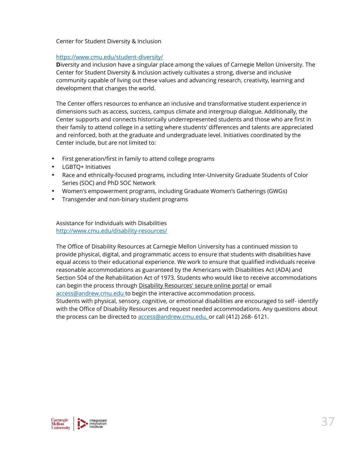#### Center for Student Diversity & Inclusion

#### <https://www.cmu.edu/student-diversity/>

**D**iversity and inclusion have a singular place among the values of Carnegie Mellon University. The Center for Student Diversity & Inclusion actively cultivates a strong, diverse and inclusive community capable of living out these values and advancing research, creativity, learning and development that changes the world.

The Center offers resources to enhance an inclusive and transformative student experience in dimensions such as access, success, campus climate and intergroup dialogue. Additionally, the Center supports and connects historically underrepresented students and those who are first in their family to attend college in a setting where students' differences and talents are appreciated and reinforced, both at the graduate and undergraduate level. Initiatives coordinated by the Center include, but are not limited to:

- First generation/first in family to attend college programs
- LGBTQ+ Initiatives
- Race and ethnically-focused programs, including Inter-University Graduate Students of Color Series (SOC) and PhD SOC Network
- Women's empowerment programs, including Graduate Women's Gatherings (GWGs)
- Transgender and non-binary student programs

Assistance for Individuals with Disabilities <http://www.cmu.edu/disability-resources/>

The Office of Disability Resources at Carnegie Mellon University has a continued mission to provide physical, digital, and programmatic access to ensure that students with disabilities have equal access to their educational experience. We work to ensure that qualified individuals receive reasonable accommodations as guaranteed by the Americans with Disabilities Act (ADA) and Section 504 of the Rehabilitation Act of 1973. Students who would like to receive accommodations can begin the process through Disability Resources' secure online portal or email access@andrew.cmu.edu\_to begin the interactive accommodation process. Students with physical, sensory, cognitive, or emotional disabilities are encouraged to self- identify with the Office of Disability Resources and request needed accommodations. Any questions about the process can be directed to [access@andrew.cmu.edu, o](mailto:access@andrew.cmu.edu)r call (412) 268- 6121.

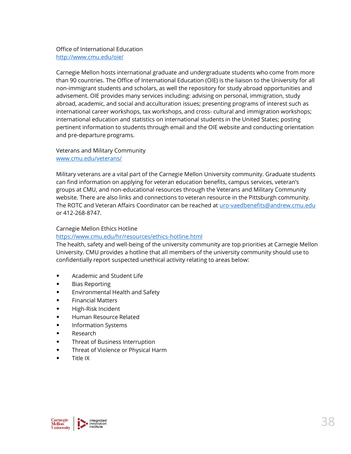#### Office of International Education <http://www.cmu.edu/oie/>

Carnegie Mellon hosts international graduate and undergraduate students who come from more than 90 countries. The Office of International Education (OIE) is the liaison to the University for all non-immigrant students and scholars, as well the repository for study abroad opportunities and advisement. OIE provides many services including: advising on personal, immigration, study abroad, academic, and social and acculturation issues; presenting programs of interest such as international career workshops, tax workshops, and cross- cultural and immigration workshops; international education and statistics on international students in the United States; posting pertinent information to students through email and the OIE website and conducting orientation and pre-departure programs.

Veterans and Military Community [www.cmu.edu/veterans/](http://www.cmu.edu/veterans/)

Military veterans are a vital part of the Carnegie Mellon University community. Graduate students can find information on applying for veteran education benefits, campus services, veteran's groups at CMU, and non-educational resources through the Veterans and Military Community website. There are also links and connections to veteran resource in the Pittsburgh community. The ROTC and Veteran Affairs Coordinator can be reached at [uro-vaedbenefits@andrew.cmu.edu](mailto:uro-vaedbenefits@andrew.cmu.edu) or 412-268-8747.

#### Carnegie Mellon Ethics Hotline

#### <https://www.cmu.edu/hr/resources/ethics-hotline.html>

The health, safety and well-being of the university community are top priorities at Carnegie Mellon University. CMU provides a hotline that all members of the university community should use to confidentially report suspected unethical activity relating to areas below:

- Academic and Student Life
- Bias Reporting
- Environmental Health and Safety
- Financial Matters
- High-Risk Incident
- Human Resource Related
- Information Systems
- Research
- Threat of Business Interruption
- Threat of Violence or Physical Harm
- Title IX

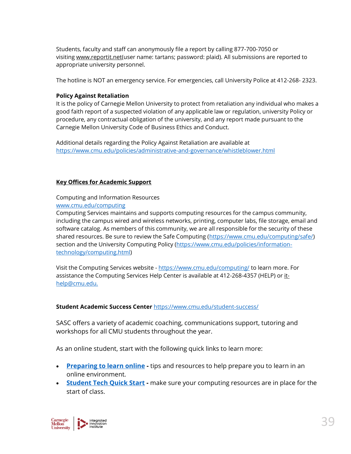Students, faculty and staff can anonymously file a report by calling 877-700-7050 or visiting www.reportit.net(user name: tartans; password: plaid). All submissions are reported to appropriate university personnel.

The hotline is NOT an emergency service. For emergencies, call University Police at 412-268- 2323.

#### **Policy Against Retaliation**

It is the policy of Carnegie Mellon University to protect from retaliation any individual who makes a good faith report of a suspected violation of any applicable law or regulation, university Policy or procedure, any contractual obligation of the university, and any report made pursuant to the Carnegie Mellon University Code of Business Ethics and Conduct.

Additional details regarding the Policy Against Retaliation are available at <https://www.cmu.edu/policies/administrative-and-governance/whistleblower.html>

#### **Key Offices for Academic Support**

#### Computing and Information Resources [www.cmu.edu/computing](http://www.cmu.edu/computing)

Computing Services maintains and supports computing resources for the campus community, including the campus wired and wireless networks, printing, computer labs, file storage, email and software catalog. As members of this community, we are all responsible for the security of these shared resources. Be sure to review the Safe Computing [\(https://www.cmu.edu/computing/safe/\)](https://www.cmu.edu/computing/safe/) section and the University Computing Policy [\(https://www.cmu.edu/policies/information](https://www.cmu.edu/policies/information-technology/computing.html)[technology/computing.html\)](https://www.cmu.edu/policies/information-technology/computing.html)

Visit the Computing Services website - <https://www.cmu.edu/computing/> to learn more. For assistance the Computing Services Help Center is available at 412-268-4357 (HELP) or it[help@cmu.edu.](mailto:help@cmu.edu)

#### **Student Academic Success Center** <https://www.cmu.edu/student-success/>

SASC offers a variety of academic coaching, communications support, tutoring and workshops for all CMU students throughout the year.

As an online student, start with the following quick links to learn more:

- **[Preparing to learn online](https://www.cmu.edu/student-success/online-resources/grad-resources/prep-to-learn-online.html) -** tips and resources to help prepare you to learn in an online environment.
- **[Student Tech Quick Start](https://www.cmu.edu/computing/start/students.html) -** make sure your computing resources are in place for the start of class.

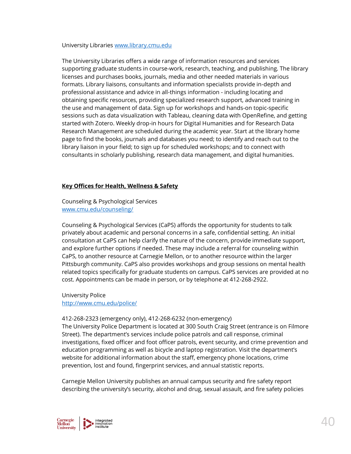University Libraries [www.library.cmu.edu](http://www.library.cmu.edu/)

The University Libraries offers a wide range of information resources and services supporting graduate students in course-work, research, teaching, and publishing. The library licenses and purchases books, journals, media and other needed materials in various formats. Library liaisons, consultants and information specialists provide in-depth and professional assistance and advice in all-things information - including locating and obtaining specific resources, providing specialized research support, advanced training in the use and management of data. Sign up for workshops and hands-on topic-specific sessions such as data visualization with Tableau, cleaning data with OpenRefine, and getting started with Zotero. Weekly drop-in hours for Digital Humanities and for Research Data Research Management are scheduled during the academic year. Start at the library home page to find the books, journals and databases you need; to identify and reach out to the library liaison in your field; to sign up for scheduled workshops; and to connect with consultants in scholarly publishing, research data management, and digital humanities.

#### **Key Offices for Health, Wellness & Safety**

Counseling & Psychological Services [www.cmu.edu/counseling/](http://www.cmu.edu/counseling/)

Counseling & Psychological Services (CaPS) affords the opportunity for students to talk privately about academic and personal concerns in a safe, confidential setting. An initial consultation at CaPS can help clarify the nature of the concern, provide immediate support, and explore further options if needed. These may include a referral for counseling within CaPS, to another resource at Carnegie Mellon, or to another resource within the larger Pittsburgh community. CaPS also provides workshops and group sessions on mental health related topics specifically for graduate students on campus. CaPS services are provided at no cost. Appointments can be made in person, or by telephone at 412-268-2922.

University Police <http://www.cmu.edu/police/>

#### 412-268-2323 (emergency only), 412-268-6232 (non-emergency)

The University Police Department is located at 300 South Craig Street (entrance is on Filmore Street). The department's services include police patrols and call response, criminal investigations, fixed officer and foot officer patrols, event security, and crime prevention and education programming as well as bicycle and laptop registration. Visit the department's website for additional information about the staff, emergency phone locations, crime prevention, lost and found, fingerprint services, and annual statistic reports.

Carnegie Mellon University publishes an annual campus security and fire safety report describing the university's security, alcohol and drug, sexual assault, and fire safety policies